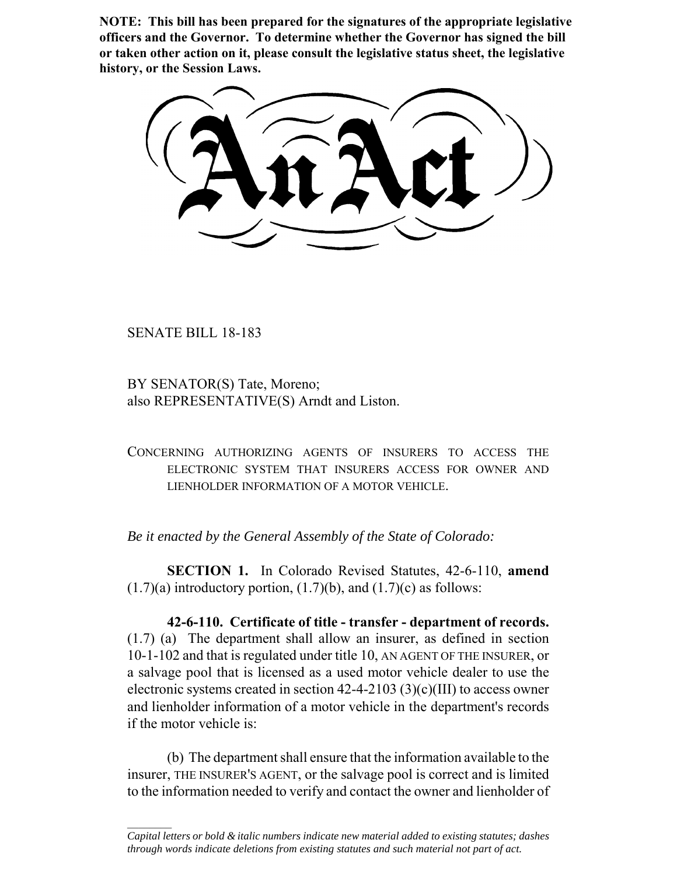**NOTE: This bill has been prepared for the signatures of the appropriate legislative officers and the Governor. To determine whether the Governor has signed the bill or taken other action on it, please consult the legislative status sheet, the legislative history, or the Session Laws.**

SENATE BILL 18-183

BY SENATOR(S) Tate, Moreno; also REPRESENTATIVE(S) Arndt and Liston.

CONCERNING AUTHORIZING AGENTS OF INSURERS TO ACCESS THE ELECTRONIC SYSTEM THAT INSURERS ACCESS FOR OWNER AND LIENHOLDER INFORMATION OF A MOTOR VEHICLE.

*Be it enacted by the General Assembly of the State of Colorado:*

**SECTION 1.** In Colorado Revised Statutes, 42-6-110, **amend**  $(1.7)(a)$  introductory portion,  $(1.7)(b)$ , and  $(1.7)(c)$  as follows:

**42-6-110. Certificate of title - transfer - department of records.** (1.7) (a) The department shall allow an insurer, as defined in section 10-1-102 and that is regulated under title 10, AN AGENT OF THE INSURER, or a salvage pool that is licensed as a used motor vehicle dealer to use the electronic systems created in section 42-4-2103 (3)(c)(III) to access owner and lienholder information of a motor vehicle in the department's records if the motor vehicle is:

(b) The department shall ensure that the information available to the insurer, THE INSURER'S AGENT, or the salvage pool is correct and is limited to the information needed to verify and contact the owner and lienholder of

 $\frac{1}{2}$ *Capital letters or bold & italic numbers indicate new material added to existing statutes; dashes through words indicate deletions from existing statutes and such material not part of act.*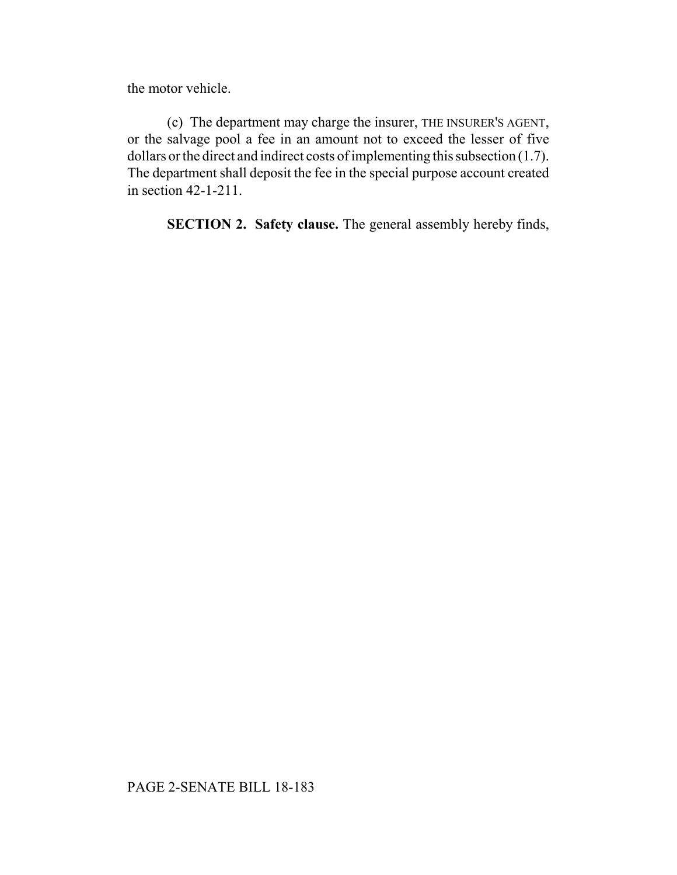the motor vehicle.

(c) The department may charge the insurer, THE INSURER'S AGENT, or the salvage pool a fee in an amount not to exceed the lesser of five dollars or the direct and indirect costs of implementing this subsection (1.7). The department shall deposit the fee in the special purpose account created in section 42-1-211.

**SECTION 2. Safety clause.** The general assembly hereby finds,